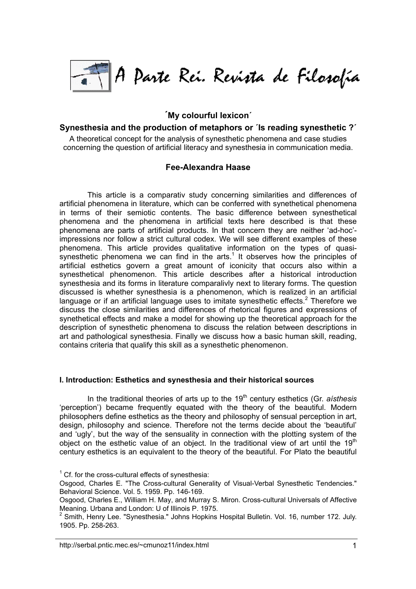

# **´My colourful lexicon´**

# **Synesthesia and the production of metaphors or ´Is reading synesthetic ?´**

A theoretical concept for the analysis of synesthetic phenomena and case studies concerning the question of artificial literacy and synesthesia in communication media.

# **Fee-Alexandra Haase**

This article is a comparativ study concerning similarities and differences of artificial phenomena in literature, which can be conferred with synethetical phenomena in terms of their semiotic contents. The basic difference between synesthetical phenomena and the phenomena in artificial texts here described is that these phenomena are parts of artificial products. In that concern they are neither 'ad-hoc' impressions nor follow a strict cultural codex. We will see different examples of these phenomena. This article provides qualitative information on the types of quasisynesthetic phenomena we can find in the arts.<sup>1</sup> It observes how the principles of artificial esthetics govern a great amount of iconicity that occurs also within a synesthetical phenomenon. This article describes after a historical introduction synesthesia and its forms in literature comparalivly next to literary forms. The question discussed is whether synesthesia is a phenomenon, which is realized in an artificial language or if an artificial language uses to imitate synesthetic effects.<sup>[2](#page-0-1)</sup> Therefore we discuss the close similarities and differences of rhetorical figures and expressions of synethetical effects and make a model for showing up the theoretical approach for the description of synesthetic phenomena to discuss the relation between descriptions in art and pathological synesthesia. Finally we discuss how a basic human skill, reading, contains criteria that qualify this skill as a synesthetic phenomenon.

#### **I. Introduction: Esthetics and synesthesia and their historical sources**

In the traditional theories of arts up to the 19<sup>th</sup> century esthetics (Gr. *aisthesis* 'perception') became frequently equated with the theory of the beautiful. Modern philosophers define esthetics as the theory and philosophy of sensual perception in art, design, philosophy and science. Therefore not the terms decide about the 'beautiful' and 'ugly', but the way of the sensuality in connection with the plotting system of the object on the esthetic value of an object. In the traditional view of art until the  $19<sup>th</sup>$ century esthetics is an equivalent to the theory of the beautiful. For Plato the beautiful

<span id="page-0-0"></span> $1$  Cf. for the cross-cultural effects of synesthesia:

Osgood, Charles E. "The Cross-cultural Generality of Visual-Verbal Synesthetic Tendencies." Behavioral Science. Vol. 5. 1959. Pp. 146-169.

Osgood, Charles E., William H. May, and Murray S. Miron. Cross-cultural Universals of Affective Meaning. Urbana and London: U of Illinois P. 1975.

<span id="page-0-1"></span> $2$  Smith, Henry Lee. "Synesthesia." Johns Hopkins Hospital Bulletin. Vol. 16, number 172. July. 1905. Pp. 258-263.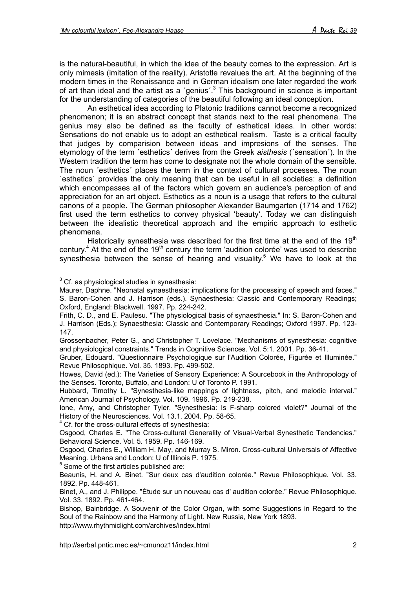<span id="page-1-2"></span>is the natural-beautiful, in which the idea of the beauty comes to the expression. Art is only mimesis (imitation of the reality). Aristotle revalues the art. At the beginning of the modern times in the Renaissance and in German idealism one later regarded the work of art than ideal and the artist as a 'genius'. $3$  This background in science is important for the understanding of categories of the beautiful following an ideal conception.

An esthetical idea according to Platonic traditions cannot become a recognized phenomenon; it is an abstract concept that stands next to the real phenomena. The genius may also be defined as the faculty of esthetical ideas. In other words: Sensations do not enable us to adopt an esthetical realism. Taste is a critical faculty that judges by comparision between ideas and impresions of the senses. The etymology of the term ´esthetics´ derives from the Greek *aisthesis* (´sensation´). In the Western tradition the term has come to designate not the whole domain of the sensible. The noun ´esthetics´ places the term in the context of cultural processes. The noun ´esthetics´ provides the only meaning that can be useful in all societies: a definition which encompasses all of the factors which govern an audience's perception of and appreciation for an art object. Esthetics as a noun is a usage that refers to the cultural canons of a people. The German philosopher Alexander Baumgarten (1714 and 1762) first used the term esthetics to convey physical 'beauty'. Today we can distinguish between the idealistic theoretical approach and the empiric approach to esthetic phenomena.

Historically synesthesia was described for the first time at the end of the  $19<sup>th</sup>$ century.<sup>[4](#page-1-1)</sup> At the end of the 19<sup>th</sup> century the term 'audition colorée' was used to describe synesthesia between the sense of hearing and visuality.<sup>[5](#page-1-2)</sup> We have to look at the

### <span id="page-1-0"></span> $3$  Cf. as physiological studies in synesthesia:

Maurer, Daphne. "Neonatal synaesthesia: implications for the processing of speech and faces." S. Baron-Cohen and J. Harrison (eds.). Synaesthesia: Classic and Contemporary Readings; Oxford, England: Blackwell. 1997. Pp. 224-242.

Frith, C. D., and E. Paulesu. "The physiological basis of synaesthesia." In: S. Baron-Cohen and J. Harrison (Eds.); Synaesthesia: Classic and Contemporary Readings; Oxford 1997. Pp. 123- 147.

Grossenbacher, Peter G., and Christopher T. Lovelace. "Mechanisms of synesthesia: cognitive and physiological constraints." Trends in Cognitive Sciences. Vol. 5:1. 2001. Pp. 36-41.

Gruber, Edouard. "Questionnaire Psychologique sur l'Audition Colorée, Figurée et Illuminée." Revue Philosophique. Vol. 35. 1893. Pp. 499-502.

Howes, David (ed.): The Varieties of Sensory Experience: A Sourcebook in the Anthropology of the Senses. Toronto, Buffalo, and London: U of Toronto P. 1991.

Hubbard, Timothy L. "Synesthesia-like mappings of lightness, pitch, and melodic interval." American Journal of Psychology. Vol. 109. 1996. Pp. 219-238.

Ione, Amy, and Christopher Tyler. "Synesthesia: Is F-sharp colored violet?" Journal of the History of the Neurosciences. Vol. 13.1. 2004. Pp. 58-65.

<span id="page-1-1"></span><sup>4</sup> Cf. for the cross-cultural effects of synesthesia:

Osgood, Charles E. "The Cross-cultural Generality of Visual-Verbal Synesthetic Tendencies." Behavioral Science. Vol. 5. 1959. Pp. 146-169.

Osgood, Charles E., William H. May, and Murray S. Miron. Cross-cultural Universals of Affective Meaning. Urbana and London: U of Illinois P. 1975.

<sup>5</sup> Some of the first articles published are:

Beaunis, H. and A. Binet. "Sur deux cas d'audition colorée." Revue Philosophique. Vol. 33. 1892. Pp. 448-461.

Binet, A., and J. Philippe. "Étude sur un nouveau cas d' audition colorée." Revue Philosophique. Vol. 33. 1892. Pp. 461-464.

Bishop, Bainbridge. A Souvenir of the Color Organ, with some Suggestions in Regard to the Soul of the Rainbow and the Harmony of Light. New Russia, New York 1893. <http://www.rhythmiclight.com/archives/index.html>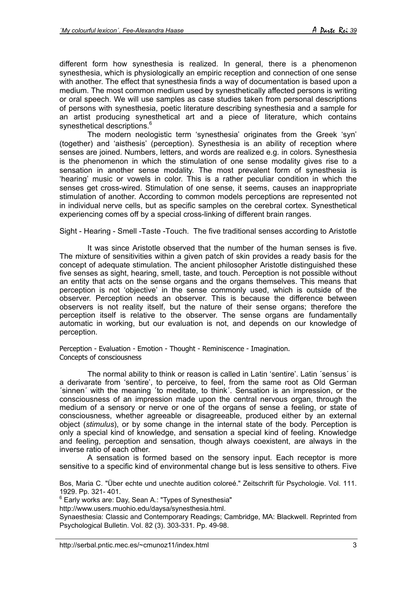different form how synesthesia is realized. In general, there is a phenomenon synesthesia, which is physiologically an empiric reception and connection of one sense with another. The effect that synesthesia finds a way of documentation is based upon a medium. The most common medium used by synesthetically affected persons is writing or oral speech. We will use samples as case studies taken from personal descriptions of persons with synesthesia, poetic literature describing synesthesia and a sample for an artist producing synesthetical art and a piece of literature, which contains synesthetical descriptions.<sup>6</sup>

The modern neologistic term 'synesthesia' originates from the Greek 'syn' (together) and 'aisthesis' (perception). Synesthesia is an ability of reception where senses are joined. Numbers, letters, and words are realized e.g. in colors. Synesthesia is the phenomenon in which the stimulation of one sense modality gives rise to a sensation in another sense modality. The most prevalent form of synesthesia is 'hearing' music or vowels in color. This is a rather peculiar condition in which the senses get cross-wired. Stimulation of one sense, it seems, causes an inappropriate stimulation of another. According to common models perceptions are represented not in individual nerve cells, but as specific samples on the cerebral cortex. Synesthetical experiencing comes off by a special cross-linking of different brain ranges.

Sight - Hearing - Smell -Taste -Touch. The five traditional senses according to Aristotle

It was since Aristotle observed that the number of the human senses is five. The mixture of sensitivities within a given patch of skin provides a ready basis for the concept of adequate stimulation. The ancient philosopher Aristotle distinguished these five senses as sight, hearing, smell, taste, and touch. Perception is not possible without an entity that acts on the sense organs and the organs themselves. This means that perception is not 'objective' in the sense commonly used, which is outside of the observer. Perception needs an observer. This is because the difference between observers is not reality itself, but the nature of their sense organs; therefore the perception itself is relative to the observer. The sense organs are fundamentally automatic in working, but our evaluation is not, and depends on our knowledge of perception.

Perception - Evaluation - Emotion - Thought - Reminiscence - Imagination. Concepts of consciousness

The normal ability to think or reason is called in Latin 'sentire'. Latin ´sensus´ is a derivarate from 'sentire', to perceive, to feel, from the same root as Old German ´sinnen´ with the meaning ´to meditate, to think´. Sensation is an impression, or the consciousness of an impression made upon the central nervous organ, through the medium of a sensory or nerve or one of the organs of sense a feeling, or state of consciousness, whether agreeable or disagreeable, produced either by an external object (*stimulus*), or by some change in the internal state of the body. Perception is only a special kind of knowledge, and sensation a special kind of feeling. Knowledge and feeling, perception and sensation, though always coexistent, are always in the inverse ratio of each other.

A sensation is formed based on the sensory input. Each receptor is more sensitive to a specific kind of environmental change but is less sensitive to others. Five

Bos, Maria C. "Über echte und unechte audition coloreé." Zeitschrift für Psychologie. Vol. 111. 1929. Pp. 321- 401.

<span id="page-2-0"></span>6 Early works are: Day, Sean A.: "Types of Synesthesia"

[http://www.users.muohio.edu/daysa/synesthesia.html.](http://www.users.muohio.edu/daysa/synesthesia.html)

Synaesthesia: Classic and Contemporary Readings; Cambridge, MA: Blackwell. Reprinted from Psychological Bulletin. Vol. 82 (3). 303-331. Pp. 49-98.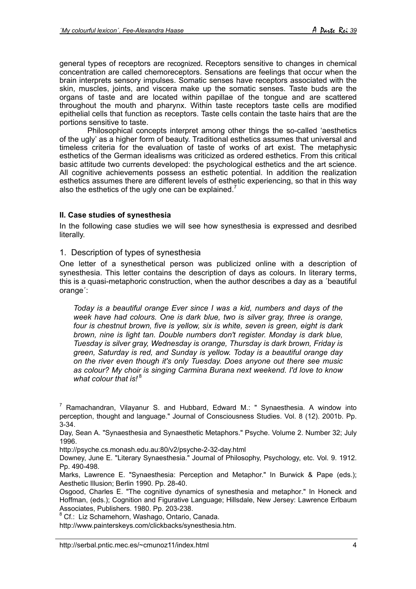general types of receptors are recognized. Receptors sensitive to changes in chemical concentration are called chemoreceptors. Sensations are feelings that occur when the brain interprets sensory impulses. Somatic senses have receptors associated with the skin, muscles, joints, and viscera make up the somatic senses. Taste buds are the organs of taste and are located within papillae of the tongue and are scattered throughout the mouth and pharynx. Within taste receptors taste cells are modified epithelial cells that function as receptors. Taste cells contain the taste hairs that are the portions sensitive to taste.

Philosophical concepts interpret among other things the so-called 'aesthetics of the ugly' as a higher form of beauty. Traditional esthetics assumes that universal and timeless criteria for the evaluation of taste of works of art exist. The metaphysic esthetics of the German idealisms was criticized as ordered esthetics. From this critical basic attitude two currents developed: the psychological esthetics and the art science. All cognitive achievements possess an esthetic potential. In addition the realization esthetics assumes there are different levels of esthetic experiencing, so that in this way also the esthetics of the ugly one can be explained.<sup>[7](#page-3-0)</sup>

# **II. Case studies of synesthesia**

In the following case studies we will see how synesthesia is expressed and desribed literally.

# 1. Description of types of synesthesia

One letter of a synesthetical person was publicized online with a description of synesthesia. This letter contains the description of days as colours. In literary terms, this is a quasi-metaphoric construction, when the author describes a day as a ´beautiful orange<sup>"</sup>:

*Today is a beautiful orange Ever since I was a kid, numbers and days of the week have had colours. One is dark blue, two is silver gray, three is orange, four is chestnut brown, five is yellow, six is white, seven is green, eight is dark brown, nine is light tan. Double numbers don't register. Monday is dark blue, Tuesday is silver gray, Wednesday is orange, Thursday is dark brown, Friday is green, Saturday is red, and Sunday is yellow. Today is a beautiful orange day on the river even though it's only Tuesday. Does anyone out there see music as colour? My choir is singing Carmina Burana next weekend. I'd love to know* what colour that is!<sup>[8](#page-3-1)</sup>

Day, Sean A. "Synaesthesia and Synaesthetic Metaphors." Psyche. Volume 2. Number 32; July 1996.

<http://psyche.cs.monash.edu.au:80/v2/psyche-2-32-day.html>

Downey, June E. "Literary Synaesthesia." Journal of Philosophy, Psychology, etc. Vol. 9. 1912. Pp. 490-498.

Marks, Lawrence E. "Synaesthesia: Perception and Metaphor." In Burwick & Pape (eds.); Aesthetic Illusion; Berlin 1990. Pp. 28-40.

Osgood, Charles E. "The cognitive dynamics of synesthesia and metaphor." In Honeck and Hoffman, (eds.); Cognition and Figurative Language; Hillsdale, New Jersey: Lawrence Erlbaum Associates, Publishers. 1980. Pp. 203-238.

<span id="page-3-1"></span><sup>8</sup> Cf.: Liz Schamehorn, Washago, Ontario, Canada.

<http://www.painterskeys.com/clickbacks/synesthesia.htm.>

<span id="page-3-0"></span> $^7$  Ramachandran, Vilayanur S. and Hubbard, Edward M.: " Synaesthesia. A window into perception, thought and language." Journal of Consciousness Studies. Vol. 8 (12). 2001b. Pp. 3-34.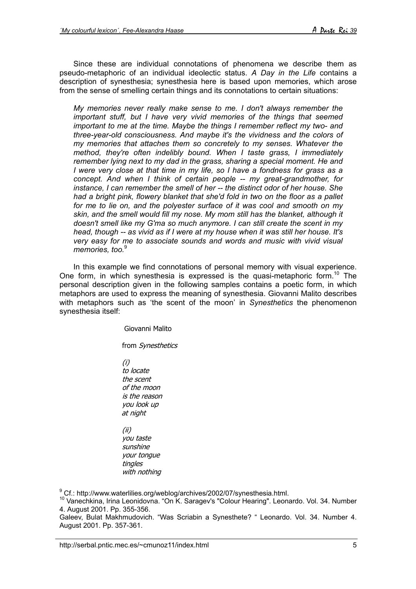Since these are individual connotations of phenomena we describe them as pseudo-metaphoric of an individual ideolectic status. *A Day in the Life* contains a description of synesthesia; synesthesia here is based upon memories, which arose from the sense of smelling certain things and its connotations to certain situations:

*My memories never really make sense to me. I don't always remember the important stuff, but I have very vivid memories of the things that seemed important to me at the time. Maybe the things I remember reflect my two- and three-year-old consciousness. And maybe it's the vividness and the colors of my memories that attaches them so concretely to my senses. Whatever the method, they're often indelibly bound. When I taste grass, I immediately remember lying next to my dad in the grass, sharing a special moment. He and I were very close at that time in my life, so I have a fondness for grass as a concept. And when I think of certain people -- my great-grandmother, for instance, I can remember the smell of her -- the distinct odor of her house. She had a bright pink, flowery blanket that she'd fold in two on the floor as a pallet for me to lie on, and the polyester surface of it was cool and smooth on my skin, and the smell would fill my nose. My mom still has the blanket, although it doesn't smell like my G'ma so much anymore. I can still create the scent in my head, though -- as vivid as if I were at my house when it was still her house. It's very easy for me to associate sounds and words and music with vivid visual memories, too.*[9](#page-4-0)

In this example we find connotations of personal memory with visual experience. One form, in which synesthesia is expressed is the quasi-metaphoric form.<sup>10</sup> The personal description given in the following samples contains a poetic form, in which metaphors are used to express the meaning of synesthesia. Giovanni Malito describes with metaphors such as 'the scent of the moon' in *Synesthetics* the phenomenon synesthesia itself:

Giovanni Malito

from Synesthetics

 (i) to locate the scent of the moon is the reason you look up at night

 (ii) you taste sunshine your tongue tingles with nothing

<span id="page-4-0"></span><sup>9</sup> Cf.: http://www.waterlilies.org/weblog/archives/2002/07/synesthesia.html.

<span id="page-4-1"></span><sup>10</sup> Vanechkina, Irina Leonidovna. "On K. Saragev's "Colour Hearing". Leonardo. Vol. 34. Number 4. August 2001. Pp. 355-356.

Galeev, Bulat Makhmudovich. "Was Scriabin a Synesthete? " Leonardo. Vol. 34. Number 4. August 2001. Pp. 357-361.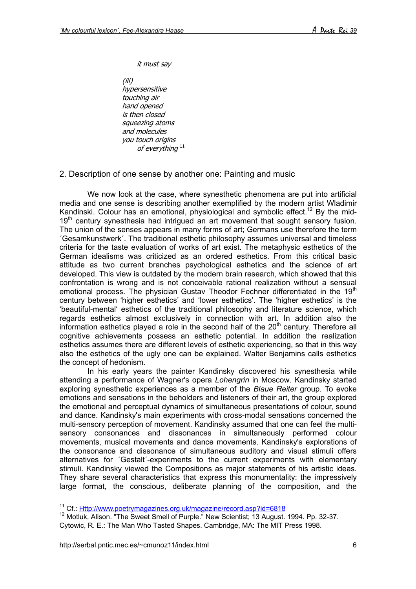it must say

 (iii) hypersensitive touching air hand opened is then closed squeezing atoms and molecules you touch origins of everything<sup>[11](#page-5-0)</sup>

2. Description of one sense by another one: Painting and music

We now look at the case, where synesthetic phenomena are put into artificial media and one sense is describing another exemplified by the modern artist Wladimir Kandinski. Colour has an emotional, physiological and symbolic effect.<sup>12</sup> By the mid-19<sup>th</sup> century synesthesia had intriqued an art movement that sought sensory fusion. The union of the senses appears in many forms of art; Germans use therefore the term ´Gesamkunstwerk´. The traditional esthetic philosophy assumes universal and timeless criteria for the taste evaluation of works of art exist. The metaphysic esthetics of the German idealisms was criticized as an ordered esthetics. From this critical basic attitude as two current branches psychological esthetics and the science of art developed. This view is outdated by the modern brain research, which showed that this confrontation is wrong and is not conceivable rational realization without a sensual emotional process. The physician Gustav Theodor Fechner differentiated in the 19<sup>th</sup> century between 'higher esthetics' and 'lower esthetics'. The 'higher esthetics' is the 'beautiful-mental' esthetics of the traditional philosophy and literature science, which regards esthetics almost exclusively in connection with art. In addition also the information esthetics played a role in the second half of the  $20<sup>th</sup>$  century. Therefore all cognitive achievements possess an esthetic potential. In addition the realization esthetics assumes there are different levels of esthetic experiencing, so that in this way also the esthetics of the ugly one can be explained. Walter Benjamins calls esthetics the concept of hedonism.

In his early years the painter Kandinsky discovered his synesthesia while attending a performance of Wagner's opera *Lohengrin* in Moscow. Kandinsky started exploring synesthetic experiences as a member of the *Blaue Reiter* group. To evoke emotions and sensations in the beholders and listeners of their art, the group explored the emotional and perceptual dynamics of simultaneous presentations of colour, sound and dance. Kandinsky's main experiments with cross-modal sensations concerned the multi-sensory perception of movement. Kandinsky assumed that one can feel the multisensory consonances and dissonances in simultaneously performed colour movements, musical movements and dance movements. Kandinsky's explorations of the consonance and dissonance of simultaneous auditory and visual stimuli offers alternatives for ´Gestalt´-experiments to the current experiments with elementary stimuli. Kandinsky viewed the Compositions as major statements of his artistic ideas. They share several characteristics that express this monumentality: the impressively large format, the conscious, deliberate planning of the composition, and the

<span id="page-5-0"></span><sup>11</sup> Cf.:<Http://www.poetrymagazines.org.uk/magazine/record.asp?id=6818>

<span id="page-5-1"></span><sup>&</sup>lt;sup>12</sup> Motluk, Alison. "The Sweet Smell of Purple." New Scientist; 13 August. 1994. Pp. 32-37. Cytowic, R. E.: The Man Who Tasted Shapes. Cambridge, MA: The MIT Press 1998.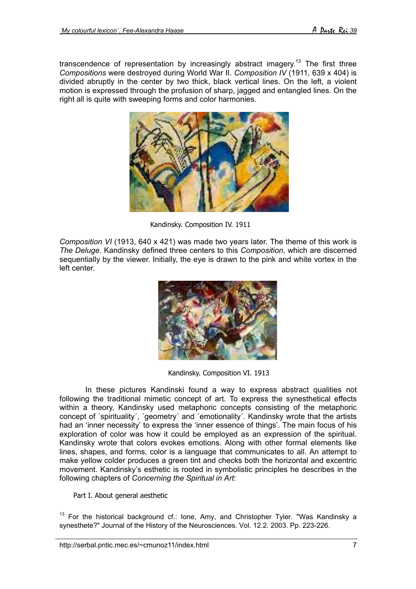transcendence of representation by increasingly abstract imagery.<sup>13</sup> The first three *Compositions* were destroyed during World War II. *Composition IV* (1911, 639 x 404) is divided abruptly in the center by two thick, black vertical lines. On the left, a violent motion is expressed through the profusion of sharp, jagged and entangled lines. On the right all is quite with sweeping forms and color harmonies.



Kandinsky. Composition IV. 1911

*Composition VI* (1913, 640 x 421) was made two years later. The theme of this work is *The Deluge*. Kandinsky defined three centers to this *Composition*, which are discerned sequentially by the viewer. Initially, the eye is drawn to the pink and white vortex in the left center.



Kandinsky. Composition VI. 1913

 In these pictures Kandinski found a way to express abstract qualities not following the traditional mimetic concept of art. To express the synesthetical effects within a theory, Kandinsky used metaphoric concepts consisting of the metaphoric concept of 'spirituality', 'geometry' and 'emotionality'. Kandinsky wrote that the artists had an 'inner necessity' to express the 'inner essence of things'. The main focus of his exploration of color was how it could be employed as an expression of the spiritual. Kandinsky wrote that colors evokes emotions. Along with other formal elements like lines, shapes, and forms, color is a language that communicates to all. An attempt to make yellow colder produces a green tint and checks both the horizontal and excentric movement. Kandinsky's esthetic is rooted in symbolistic principles he describes in the following chapters of *Concerning the Spiritual in Art*:

Part I. About general aesthetic

<span id="page-6-0"></span> $13$  For the historical background cf.: lone, Amy, and Christopher Tyler. "Was Kandinsky a synesthete?" Journal of the History of the Neurosciences. Vol. 12.2. 2003. Pp. 223-226.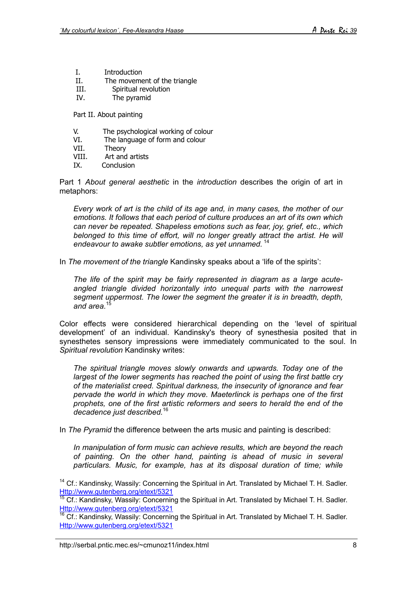- I. Introduction
- II. The movement of the triangle
- III. Spiritual revolution<br>IV. The pyramid
- The pyramid

Part II. About painting

- V. The psychological working of colour
- VI. The language of form and colour
- VII. Theory
- VIII. Art and artists
- IX. Conclusion

Part 1 *About general aesthetic* in the *introduction* describes the origin of art in metaphors:

*Every work of art is the child of its age and, in many cases, the mother of our emotions. It follows that each period of culture produces an art of its own which can never be repeated. Shapeless emotions such as fear, joy, grief, etc., which belonged to this time of effort, will no longer greatly attract the artist. He will endeavour to awake subtler emotions, as yet unnamed.* [14](#page-7-0)

In *The movement of the triangle* Kandinsky speaks about a 'life of the spirits':

*The life of the spirit may be fairly represented in diagram as a large acuteangled triangle divided horizontally into unequal parts with the narrowest segment uppermost. The lower the segment the greater it is in breadth, depth,* and area.<sup>1</sup>

Color effects were considered hierarchical depending on the 'level of spiritual development' of an individual. Kandinsky's theory of synesthesia posited that in synesthetes sensory impressions were immediately communicated to the soul. In *Spiritual revolution* Kandinsky writes:

*The spiritual triangle moves slowly onwards and upwards. Today one of the largest of the lower segments has reached the point of using the first battle cry of the materialist creed. Spiritual darkness, the insecurity of ignorance and fear pervade the world in which they move. Maeterlinck is perhaps one of the first prophets, one of the first artistic reformers and seers to herald the end of the decadence just described.*[16](#page-7-2)

In *The Pyramid* the difference between the arts music and painting is described:

*In manipulation of form music can achieve results, which are beyond the reach of painting. On the other hand, painting is ahead of music in several particulars. Music, for example, has at its disposal duration of time; while*

<span id="page-7-1"></span><sup>15</sup> Cf.: Kandinsky, Wassily: Concerning the Spiritual in Art. Translated by Michael T. H. Sadler. <Http://www.gutenberg.org/etext/5321>

<span id="page-7-2"></span> $16$  Cf.: Kandinsky, Wassily: Concerning the Spiritual in Art. Translated by Michael T. H. Sadler. <Http://www.gutenberg.org/etext/5321>

<span id="page-7-0"></span><sup>&</sup>lt;sup>14</sup> Cf.: Kandinsky, Wassily: Concerning the Spiritual in Art. Translated by Michael T. H. Sadler. <Http://www.gutenberg.org/etext/5321>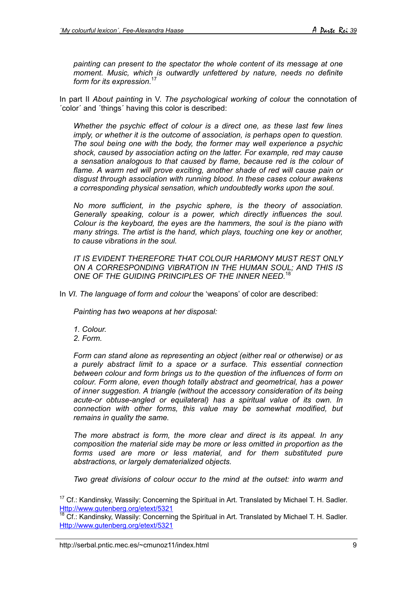*painting can present to the spectator the whole content of its message at one moment. Music, which is outwardly unfettered by nature, needs no definite form for its expression.*[17](#page-8-0)

In part II *About painting* in V. *The psychological working of colou*r the connotation of ´color´ and ´things´ having this color is described:

*Whether the psychic effect of colour is a direct one, as these last few lines imply, or whether it is the outcome of association, is perhaps open to question. The soul being one with the body, the former may well experience a psychic shock, caused by association acting on the latter. For example, red may cause a sensation analogous to that caused by flame, because red is the colour of flame. A warm red will prove exciting, another shade of red will cause pain or disgust through association with running blood. In these cases colour awakens a corresponding physical sensation, which undoubtedly works upon the soul.*

*No more sufficient, in the psychic sphere, is the theory of association. Generally speaking, colour is a power, which directly influences the soul. Colour is the keyboard, the eyes are the hammers, the soul is the piano with many strings. The artist is the hand, which plays, touching one key or another, to cause vibrations in the soul.*

*IT IS EVIDENT THEREFORE THAT COLOUR HARMONY MUST REST ONLY ON A CORRESPONDING VIBRATION IN THE HUMAN SOUL; AND THIS IS ONE OF THE GUIDING PRINCIPLES OF THE INNER NEED.*[18](#page-8-1)

In *VI. The language of form and colour* the 'weapons' of color are described:

*Painting has two weapons at her disposal:*

- *1. Colour.*
- *2. Form.*

*Form can stand alone as representing an object (either real or otherwise) or as a purely abstract limit to a space or a surface. This essential connection between colour and form brings us to the question of the influences of form on colour. Form alone, even though totally abstract and geometrical, has a power of inner suggestion. A triangle (without the accessory consideration of its being acute-or obtuse-angled or equilateral) has a spiritual value of its own. In connection with other forms, this value may be somewhat modified, but remains in quality the same.*

*The more abstract is form, the more clear and direct is its appeal. In any composition the material side may be more or less omitted in proportion as the forms used are more or less material, and for them substituted pure abstractions, or largely dematerialized objects.*

*Two great divisions of colour occur to the mind at the outset: into warm and*

<span id="page-8-1"></span> $18$  Cf.: Kandinsky, Wassily: Concerning the Spiritual in Art. Translated by Michael T. H. Sadler. <Http://www.gutenberg.org/etext/5321>

<span id="page-8-0"></span> $17$  Cf.: Kandinsky, Wassily: Concerning the Spiritual in Art. Translated by Michael T. H. Sadler. <Http://www.gutenberg.org/etext/5321>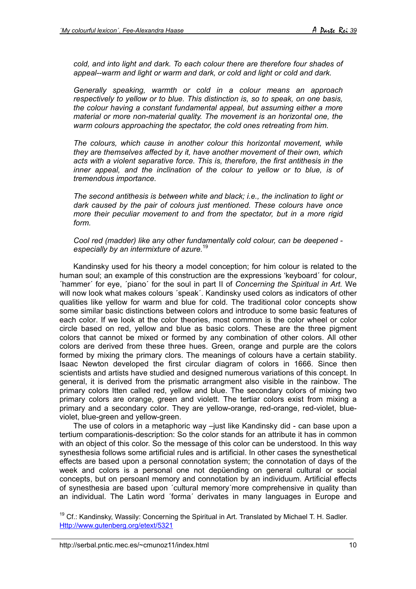*cold, and into light and dark. To each colour there are therefore four shades of appeal--warm and light or warm and dark, or cold and light or cold and dark.*

*Generally speaking, warmth or cold in a colour means an approach respectively to yellow or to blue. This distinction is, so to speak, on one basis, the colour having a constant fundamental appeal, but assuming either a more material or more non-material quality. The movement is an horizontal one, the warm colours approaching the spectator, the cold ones retreating from him.*

*The colours, which cause in another colour this horizontal movement, while they are themselves affected by it, have another movement of their own, which acts with a violent separative force. This is, therefore, the first antithesis in the inner appeal, and the inclination of the colour to yellow or to blue, is of tremendous importance.*

*The second antithesis is between white and black; i.e., the inclination to light or dark caused by the pair of colours just mentioned. These colours have once more their peculiar movement to and from the spectator, but in a more rigid form.*

### *Cool red (madder) like any other fundamentally cold colour, can be deepened especially by an intermixture of azure.*[19](#page-9-0)

Kandinsky used for his theory a model conception; for him colour is related to the human soul; an example of this construction are the expressions 'keyboard´ for colour, ´hammer´ for eye, ´piano´ for the soul in part II of *Concerning the Spiritual in Art.* We will now look what makes colours ´speak´. Kandinsky used colors as indicators of other qualities like yellow for warm and blue for cold. The traditional color concepts show some similar basic distinctions between colors and introduce to some basic features of each color. If we look at the color theories, most common is the color wheel or color circle based on red, yellow and blue as basic colors. These are the three pigment colors that cannot be mixed or formed by any combination of other colors. All other colors are derived from these three hues. Green, orange and purple are the colors formed by mixing the primary clors. The meanings of colours have a certain stability. Isaac Newton developed the first circular diagram of colors in 1666. Since then scientists and artists have studied and designed numerous variations of this concept. In general, it is derived from the prismatic arrangment also visible in the rainbow. The primary colors Itten called red, yellow and blue. The secondary colors of mixing two primary colors are orange, green and violett. The tertiar colors exist from mixing a primary and a secondary color. They are yellow-orange, red-orange, red-violet, blueviolet, blue-green and yellow-green.

The use of colors in a metaphoric way –just like Kandinsky did - can base upon a tertium comparationis-description: So the color stands for an attribute it has in common with an object of this color. So the message of this color can be understood. In this way synesthesia follows some artificial rules and is artificial. In other cases the synesthetical effects are based upon a personal connotation system; the connotation of days of the week and colors is a personal one not depüending on general cultural or social concepts, but on persoanl memory and connotation by an individuum. Artificial effects of synesthesia are based upon ´cultural memory´more comprehensive in quality than an individual. The Latin word ´forma´ derivates in many languages in Europe and

<span id="page-9-0"></span><sup>19</sup> Cf.: Kandinsky, Wassily: Concerning the Spiritual in Art. Translated by Michael T. H. Sadler. <Http://www.gutenberg.org/etext/5321>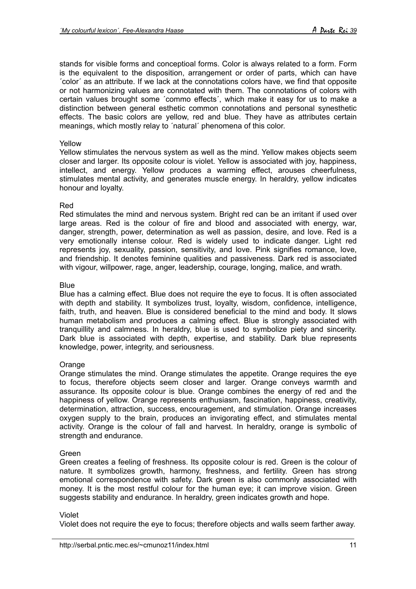stands for visible forms and conceptioal forms. Color is always related to a form. Form is the equivalent to the disposition, arrangement or order of parts, which can have ´color´ as an attribute. If we lack at the connotations colors have, we find that opposite or not harmonizing values are connotated with them. The connotations of colors with certain values brought some ´commo effects´, which make it easy for us to make a distinction between general esthetic common connotations and personal synesthetic effects. The basic colors are yellow, red and blue. They have as attributes certain meanings, which mostly relay to ´natural´ phenomena of this color.

#### Yellow

Yellow stimulates the nervous system as well as the mind. Yellow makes objects seem closer and larger. Its opposite colour is violet. Yellow is associated with joy, happiness, intellect, and energy. Yellow produces a warming effect, arouses cheerfulness, stimulates mental activity, and generates muscle energy. In heraldry, yellow indicates honour and loyalty.

### Red

Red stimulates the mind and nervous system. Bright red can be an irritant if used over large areas. Red is the colour of fire and blood and associated with energy, war, danger, strength, power, determination as well as passion, desire, and love. Red is a very emotionally intense colour. Red is widely used to indicate danger. Light red represents joy, sexuality, passion, sensitivity, and love. Pink signifies romance, love, and friendship. It denotes feminine qualities and passiveness. Dark red is associated with vigour, willpower, rage, anger, leadership, courage, longing, malice, and wrath.

### **Blue**

Blue has a calming effect. Blue does not require the eye to focus. It is often associated with depth and stability. It symbolizes trust, loyalty, wisdom, confidence, intelligence, faith, truth, and heaven. Blue is considered beneficial to the mind and body. It slows human metabolism and produces a calming effect. Blue is strongly associated with tranquillity and calmness. In heraldry, blue is used to symbolize piety and sincerity. Dark blue is associated with depth, expertise, and stability. Dark blue represents knowledge, power, integrity, and seriousness.

#### **Orange**

Orange stimulates the mind. Orange stimulates the appetite. Orange requires the eye to focus, therefore objects seem closer and larger. Orange conveys warmth and assurance. Its opposite colour is blue. Orange combines the energy of red and the happiness of yellow. Orange represents enthusiasm, fascination, happiness, creativity, determination, attraction, success, encouragement, and stimulation. Orange increases oxygen supply to the brain, produces an invigorating effect, and stimulates mental activity. Orange is the colour of fall and harvest. In heraldry, orange is symbolic of strength and endurance.

# Green

Green creates a feeling of freshness. Its opposite colour is red. Green is the colour of nature. It symbolizes growth, harmony, freshness, and fertility. Green has strong emotional correspondence with safety. Dark green is also commonly associated with money. It is the most restful colour for the human eye; it can improve vision. Green suggests stability and endurance. In heraldry, green indicates growth and hope.

#### Violet

Violet does not require the eye to focus; therefore objects and walls seem farther away.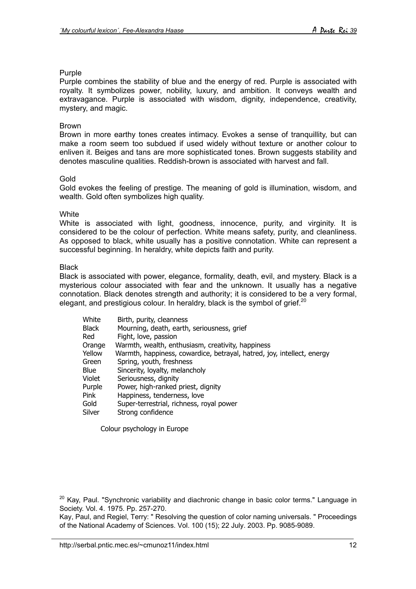# Purple

Purple combines the stability of blue and the energy of red. Purple is associated with royalty. It symbolizes power, nobility, luxury, and ambition. It conveys wealth and extravagance. Purple is associated with wisdom, dignity, independence, creativity, mystery, and magic.

#### Brown

Brown in more earthy tones creates intimacy. Evokes a sense of tranquillity, but can make a room seem too subdued if used widely without texture or another colour to enliven it. Beiges and tans are more sophisticated tones. Brown suggests stability and denotes masculine qualities. Reddish-brown is associated with harvest and fall.

### Gold

Gold evokes the feeling of prestige. The meaning of gold is illumination, wisdom, and wealth. Gold often symbolizes high quality.

#### **White**

White is associated with light, goodness, innocence, purity, and virginity. It is considered to be the colour of perfection. White means safety, purity, and cleanliness. As opposed to black, white usually has a positive connotation. White can represent a successful beginning. In heraldry, white depicts faith and purity.

#### **Black**

Black is associated with power, elegance, formality, death, evil, and mystery. Black is a mysterious colour associated with fear and the unknown. It usually has a negative connotation. Black denotes strength and authority; it is considered to be a very formal, elegant, and prestigious colour. In heraldry, black is the symbol of grief.<sup>[20](#page-11-0)</sup>

| White  | Birth, purity, cleanness                                               |
|--------|------------------------------------------------------------------------|
| Black  | Mourning, death, earth, seriousness, grief                             |
| Red    | Fight, love, passion                                                   |
| Orange | Warmth, wealth, enthusiasm, creativity, happiness                      |
| Yellow | Warmth, happiness, cowardice, betrayal, hatred, joy, intellect, energy |
| Green  | Spring, youth, freshness                                               |
| Blue   | Sincerity, loyalty, melancholy                                         |
| Violet | Seriousness, dignity                                                   |
| Purple | Power, high-ranked priest, dignity                                     |
| Pink   | Happiness, tenderness, love                                            |
| Gold   | Super-terrestrial, richness, royal power                               |
| Silver | Strong confidence                                                      |
|        |                                                                        |

Colour psychology in Europe

<span id="page-11-0"></span> $20$  Kay, Paul. "Synchronic variability and diachronic change in basic color terms." Language in Society. Vol. 4. 1975. Pp. 257-270.

Kay, Paul, and Regiel, Terry: " Resolving the question of color naming universals. " Proceedings of the National Academy of Sciences. Vol. 100 (15); 22 July. 2003. Pp. 9085-9089.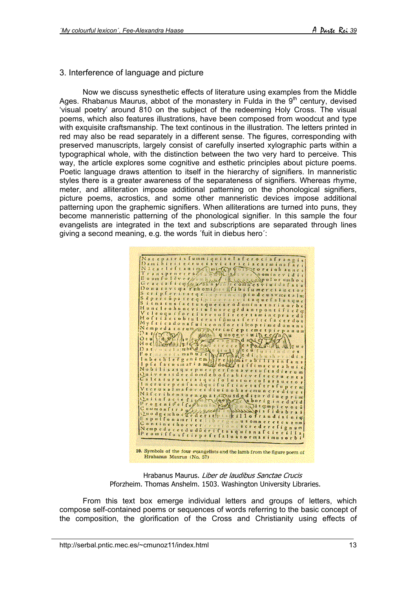# 3. Interference of language and picture

Now we discuss synesthetic effects of literature using examples from the Middle Ages. Rhabanus Maurus, abbot of the monastery in Fulda in the  $9<sup>th</sup>$  century, devised 'visual poetry' around 810 on the subject of the redeeming Holy Cross. The visual poems, which also features illustrations, have been composed from woodcut and type with exquisite craftsmanship. The text continous in the illustration. The letters printed in red may also be read separately in a different sense. The figures, corresponding with preserved manuscripts, largely consist of carefully inserted xylographic parts within a typographical whole, with the distinction between the two very hard to perceive. This way, the article explores some cognitive and esthetic principles about picture poems. Poetic language draws attention to itself in the hierarchy of signifiers. In manneristic styles there is a greater awareness of the separateness of signifiers. Whereas rhyme, meter, and alliteration impose additional patterning on the phonological signifiers, picture poems, acrostics, and some other manneristic devices impose additional patterning upon the graphemic signifiers. When alliterations are turned into puns, they become manneristic patterning of the phonological signifier. In this sample the four evangelists are integrated in the text and subscriptions are separated through lines giving a second meaning, e.g. the words ´fuit in diebus hero´:



Hrabanus Maurus. Liber de laudibus Sanctae Crucis Pforzheim. Thomas Anshelm. 1503. Washington University Libraries.

From this text box emerge individual letters and groups of letters, which compose self-contained poems or sequences of words referring to the basic concept of the composition, the glorification of the Cross and Christianity using effects of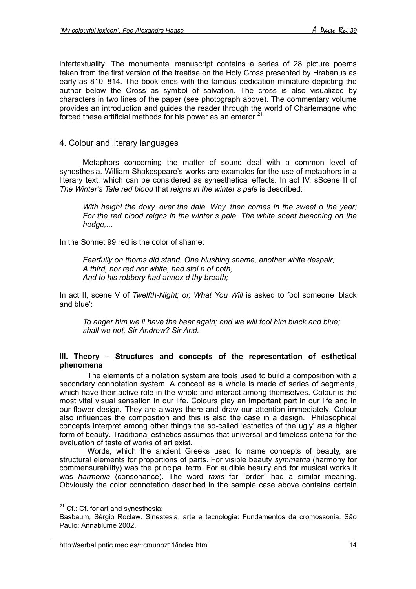intertextuality. The monumental manuscript contains a series of 28 picture poems taken from the first version of the treatise on the Holy Cross presented by Hrabanus as early as 810–814. The book ends with the famous dedication miniature depicting the author below the Cross as symbol of salvation. The cross is also visualized by characters in two lines of the paper (see photograph above). The commentary volume provides an introduction and guides the reader through the world of Charlemagne who forced these artificial methods for his power as an emeror. $21$ 

# 4. Colour and literary languages

Metaphors concerning the matter of sound deal with a common level of synesthesia. William Shakespeare's works are examples for the use of metaphors in a literary text, which can be considered as synesthetical effects. In act IV, sScene II of *The Winter's Tale red blood* that *reigns in the winter s pale* is described:

*With heigh! the doxy, over the dale, Why, then comes in the sweet o the year; For the red blood reigns in the winter s pale. The white sheet bleaching on the hedge,...*

In the Sonnet 99 red is the color of shame:

*Fearfully on thorns did stand, One blushing shame, another white despair; A third, nor red nor white, had stol n of both, And to his robbery had annex d thy breath;*

In act II, scene V of *Twelfth-Night; or, What You Will* is asked to fool someone 'black and blue':

*To anger him we ll have the bear again; and we will fool him black and blue; shall we not, Sir Andrew? Sir And.*

#### **III. Theory – Structures and concepts of the representation of esthetical phenomena**

The elements of a notation system are tools used to build a composition with a secondary connotation system. A concept as a whole is made of series of segments, which have their active role in the whole and interact among themselves. Colour is the most vital visual sensation in our life. Colours play an important part in our life and in our flower design. They are always there and draw our attention immediately. Colour also influences the composition and this is also the case in a design. Philosophical concepts interpret among other things the so-called 'esthetics of the ugly' as a higher form of beauty. Traditional esthetics assumes that universal and timeless criteria for the evaluation of taste of works of art exist.

Words, which the ancient Greeks used to name concepts of beauty, are structural elements for proportions of parts. For visible beauty *symmetria* (harmony for commensurability) was the principal term. For audible beauty and for musical works it was *harmonia* (consonance). The word *taxis* for ´order´ had a similar meaning. Obviously the color connotation described in the sample case above contains certain

<span id="page-13-0"></span> $21$  Cf.: Cf. for art and synesthesia:

Basbaum, Sérgio Roclaw. Sinestesia, arte e tecnologia: Fundamentos da cromossonia. São Paulo: Annablume 2002.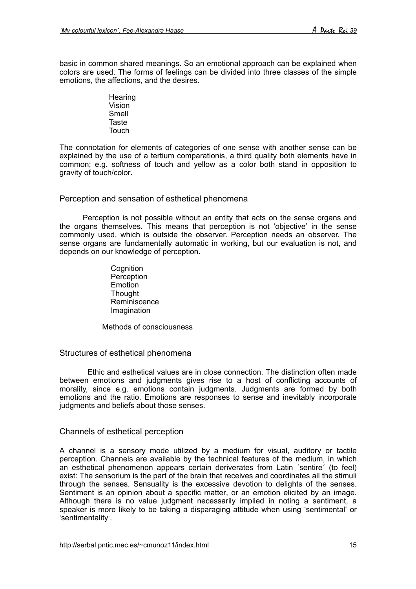basic in common shared meanings. So an emotional approach can be explained when colors are used. The forms of feelings can be divided into three classes of the simple emotions, the affections, and the desires.

> **Hearing** Vision Smell Taste Touch

The connotation for elements of categories of one sense with another sense can be explained by the use of a tertium comparationis, a third quality both elements have in common; e.g. softness of touch and yellow as a color both stand in opposition to gravity of touch/color.

Perception and sensation of esthetical phenomena

Perception is not possible without an entity that acts on the sense organs and the organs themselves. This means that perception is not 'objective' in the sense commonly used, which is outside the observer. Perception needs an observer. The sense organs are fundamentally automatic in working, but our evaluation is not, and depends on our knowledge of perception.

> **Cognition Perception** Emotion **Thought** Reminiscence Imagination

Methods of consciousness

# Structures of esthetical phenomena

Ethic and esthetical values are in close connection. The distinction often made between emotions and judgments gives rise to a host of conflicting accounts of morality, since e.g. emotions contain judgments. Judgments are formed by both emotions and the ratio. Emotions are responses to sense and inevitably incorporate judgments and beliefs about those senses.

# Channels of esthetical perception

A channel is a sensory mode utilized by a medium for visual, auditory or tactile perception. Channels are available by the technical features of the medium, in which an esthetical phenomenon appears certain deriverates from Latin ´sentire´ (to feel) exist: The sensorium is the part of the brain that receives and coordinates all the stimuli through the senses. Sensuality is the excessive devotion to delights of the senses. Sentiment is an opinion about a specific matter, or an emotion elicited by an image. Although there is no value judgment necessarily implied in noting a sentiment, a speaker is more likely to be taking a disparaging attitude when using 'sentimental' or 'sentimentality'.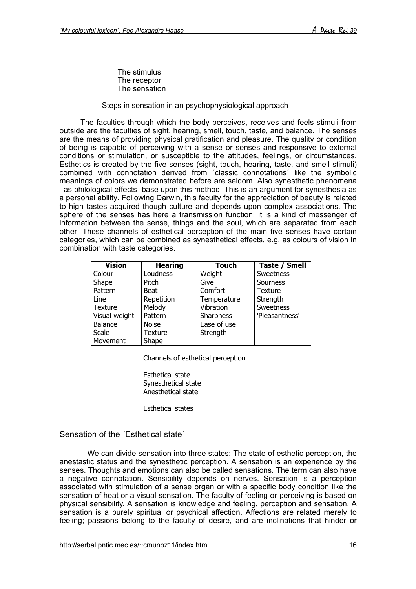The stimulus The receptor The sensation

### Steps in sensation in an psychophysiological approach

The faculties through which the body perceives, receives and feels stimuli from outside are the faculties of sight, hearing, smell, touch, taste, and balance. The senses are the means of providing physical gratification and pleasure. The quality or condition of being is capable of perceiving with a sense or senses and responsive to external conditions or stimulation, or susceptible to the attitudes, feelings, or circumstances. Esthetics is created by the five senses (sight, touch, hearing, taste, and smell stimuli) combined with connotation derived from ´classic connotations´ like the symbolic meanings of colors we demonstrated before are seldom. Also synesthetic phenomena –as philological effects- base upon this method. This is an argument for synesthesia as a personal ability. Following Darwin, this faculty for the appreciation of beauty is related to high tastes acquired though culture and depends upon complex associations. The sphere of the senses has here a transmission function; it is a kind of messenger of information between the sense, things and the soul, which are separated from each other. These channels of esthetical perception of the main five senses have certain categories, which can be combined as synesthetical effects, e.g. as colours of vision in combination with taste categories.

| <b>Vision</b> | <b>Hearing</b> | <b>Touch</b> | Taste / Smell  |
|---------------|----------------|--------------|----------------|
| Colour        | Loudness       | Weight       | Sweetness      |
| Shape         | Pitch          | Give         | Sourness       |
| Pattern       | <b>Beat</b>    | Comfort      | <b>Texture</b> |
| Line          | Repetition     | Temperature  | Strength       |
| Texture       | Melody         | Vibration    | Sweetness      |
| Visual weight | Pattern        | Sharpness    | 'Pleasantness' |
| Balance       | <b>Noise</b>   | Ease of use  |                |
| Scale         | Texture        | Strength     |                |
| Movement      | Shape          |              |                |

Channels of esthetical perception

Esthetical state Synesthetical state Anesthetical state

Esthetical states

Sensation of the 'Esthetical state'

We can divide sensation into three states: The state of esthetic perception, the anestastic status and the synesthetic perception. A sensation is an experience by the senses. Thoughts and emotions can also be called sensations. The term can also have a negative connotation. Sensibility depends on nerves. Sensation is a perception associated with stimulation of a sense organ or with a specific body condition like the sensation of heat or a visual sensation. The faculty of feeling or perceiving is based on physical sensibility. A sensation is knowledge and feeling, perception and sensation. A sensation is a purely spiritual or psychical affection. Affections are related merely to feeling; passions belong to the faculty of desire, and are inclinations that hinder or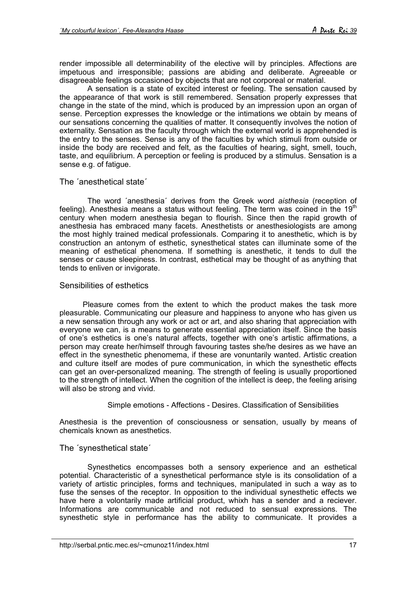render impossible all determinability of the elective will by principles. Affections are impetuous and irresponsible; passions are abiding and deliberate. Agreeable or disagreeable feelings occasioned by objects that are not corporeal or material.

A sensation is a state of excited interest or feeling. The sensation caused by the appearance of that work is still remembered. Sensation properly expresses that change in the state of the mind, which is produced by an impression upon an organ of sense. Perception expresses the knowledge or the intimations we obtain by means of our sensations concerning the qualities of matter. It consequently involves the notion of externality. Sensation as the faculty through which the external world is apprehended is the entry to the senses. Sense is any of the faculties by which stimuli from outside or inside the body are received and felt, as the faculties of hearing, sight, smell, touch, taste, and equilibrium. A perception or feeling is produced by a stimulus. Sensation is a sense e.g. of fatigue.

# The ´anesthetical state´

The word ´anesthesia´ derives from the Greek word *aisthesia* (reception of feeling). Anesthesia means a status without feeling. The term was coined in the  $19<sup>th</sup>$ century when modern anesthesia began to flourish. Since then the rapid growth of anesthesia has embraced many facets. Anesthetists or anesthesiologists are among the most highly trained medical professionals. Comparing it to anesthetic, which is by construction an antonym of esthetic, synesthetical states can illuminate some of the meaning of esthetical phenomena. If something is anesthetic, it tends to dull the senses or cause sleepiness. In contrast, esthetical may be thought of as anything that tends to enliven or invigorate.

# Sensibilities of esthetics

Pleasure comes from the extent to which the product makes the task more pleasurable. Communicating our pleasure and happiness to anyone who has given us a new sensation through any work or act or art, and also sharing that appreciation with everyone we can, is a means to generate essential appreciation itself. Since the basis of one's esthetics is one's natural affects, together with one's artistic affirmations, a person may create her/himself through favouring tastes she/he desires as we have an effect in the synesthetic phenomema, if these are vonuntarily wanted. Artistic creation and culture itself are modes of pure communication, in which the synesthetic effects can get an over-personalized meaning. The strength of feeling is usually proportioned to the strength of intellect. When the cognition of the intellect is deep, the feeling arising will also be strong and vivid.

# Simple emotions - Affections - Desires. Classification of Sensibilities

Anesthesia is the prevention of consciousness or sensation, usually by means of chemicals known as anesthetics.

# The ´synesthetical state´

Synesthetics encompasses both a sensory experience and an esthetical potential. Characteristic of a synesthetical performance style is its consolidation of a variety of artistic principles, forms and techniques, manipulated in such a way as to fuse the senses of the receptor. In opposition to the individual synesthetic effects we have here a volontarily made artificial product, whixh has a sender and a reciever. Informations are communicable and not reduced to sensual expressions. The synesthetic style in performance has the ability to communicate. It provides a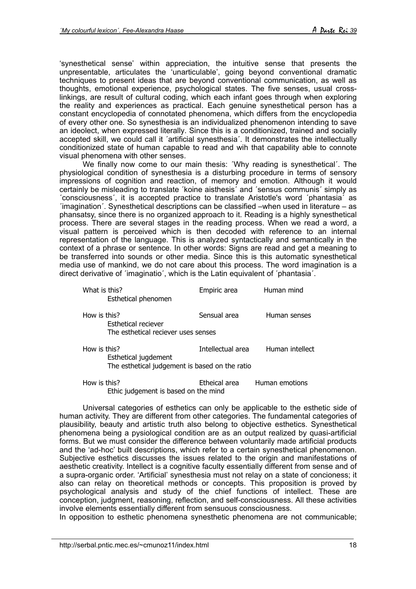'synesthetical sense' within appreciation, the intuitive sense that presents the unpresentable, articulates the 'unarticulable', going beyond conventional dramatic techniques to present ideas that are beyond conventional communication, as well as thoughts, emotional experience, psychological states. The five senses, usual crosslinkings, are result of cultural coding, which each infant goes through when exploring the reality and experiences as practical. Each genuine synesthetical person has a constant encyclopedia of connotated phenomena, which differs from the encyclopedia of every other one. So synesthesia is an individualized phenomenon intending to save an ideolect, when expressed literally. Since this is a conditionized, trained and socially accepted skill, we could call it ´artificial synesthesia´. It demonstrates the intellectually conditionized state of human capable to read and wih that capability able to connote visual phenomena with other senses.

We finally now come to our main thesis: ´Why reading is synesthetical´. The physiological condition of synesthesia is a disturbing procedure in terms of sensory impressions of cognition and reaction, of memory and emotion. Although it would certainly be misleading to translate ´koine aisthesis´ and ´sensus communis´ simply as ´consciousness´, it is accepted practice to translate Aristotle's word ´phantasia´ as ´imagination´. Synesthetical descriptions can be classified –when used in literature – as phansatsy, since there is no organized approach to it. Reading is a highly synesthetical process. There are several stages in the reading process. When we read a word, a visual pattern is perceived which is then decoded with reference to an internal representation of the language. This is analyzed syntactically and semantically in the context of a phrase or sentence. In other words: Signs are read and get a meaning to be transferred into sounds or other media. Since this is this automatic synesthetical media use of mankind, we do not care about this process. The word imagination is a direct derivative of 'imaginatio', which is the Latin equivalent of 'phantasia'.

| What is this?<br>Esthetical phenomen                                                   | Empiric area      | Human mind      |
|----------------------------------------------------------------------------------------|-------------------|-----------------|
| How is this?<br>Esthetical reciever<br>The esthetical reciever uses senses             | Sensual area      | Human senses    |
| How is this?<br>Esthetical jugdement<br>The esthetical judgement is based on the ratio | Intellectual area | Human intellect |
|                                                                                        |                   |                 |

How is this? Etheical area Human emotions Ethic judgement is based on the mind

Universal categories of esthetics can only be applicable to the esthetic side of human activity. They are different from other categories. The fundamental categories of plausibility, beauty and artistic truth also belong to objective esthetics. Synesthetical phenomena being a pysiological condition are as an output realized by quasi-artificial forms. But we must consider the difference between voluntarily made artificial products and the 'ad-hoc' built descriptions, which refer to a certain synesthetical phenomenon. Subjective esthetics discusses the issues related to the origin and manifestations of aesthetic creativity. Intellect is a cognitive faculty essentially different from sense and of a supra-organic order. 'Artificial' synesthesia must not relay on a state of concioness; it also can relay on theoretical methods or concepts. This proposition is proved by psychological analysis and study of the chief functions of intellect. These are conception, judgment, reasoning, reflection, and self-consciousness. All these activities involve elements essentially different from sensuous consciousness.

In opposition to esthetic phenomena synesthetic phenomena are not communicable;